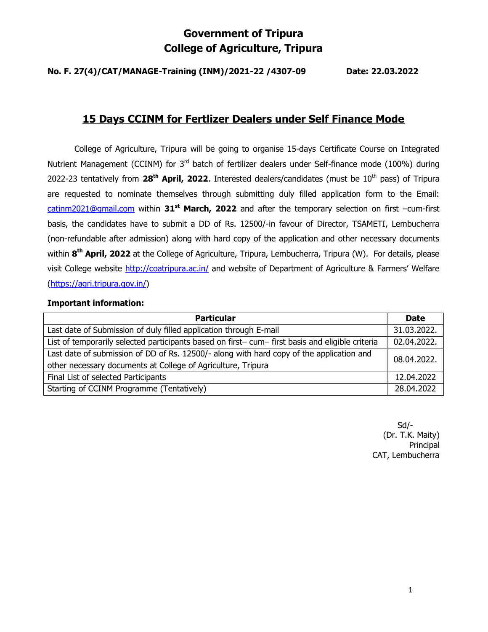# Government of Tripura College of Agriculture, Tripura

No. F. 27(4)/CAT/MANAGE-Training (INM)/2021-22 /4307-09 Date: 22.03.2022

# 15 Days CCINM for Fertlizer Dealers under Self Finance Mode

 College of Agriculture, Tripura will be going to organise 15-days Certificate Course on Integrated Nutrient Management (CCINM) for 3<sup>rd</sup> batch of fertilizer dealers under Self-finance mode (100%) during 2022-23 tentatively from  $28<sup>th</sup>$  April, 2022. Interested dealers/candidates (must be  $10<sup>th</sup>$  pass) of Tripura are requested to nominate themselves through submitting duly filled application form to the Email: catinm2021@gmail.com within  $31^{st}$  March, 2022 and after the temporary selection on first -cum-first basis, the candidates have to submit a DD of Rs. 12500/-in favour of Director, TSAMETI, Lembucherra (non-refundable after admission) along with hard copy of the application and other necessary documents within 8<sup>th</sup> April, 2022 at the College of Agriculture, Tripura, Lembucherra, Tripura (W). For details, please visit College website http://coatripura.ac.in/ and website of Department of Agriculture & Farmers' Welfare (https://agri.tripura.gov.in/)

## Important information:

| <b>Particular</b>                                                                              | <b>Date</b> |  |
|------------------------------------------------------------------------------------------------|-------------|--|
| Last date of Submission of duly filled application through E-mail                              | 31.03.2022. |  |
| List of temporarily selected participants based on first-cum-first basis and eligible criteria | 02.04.2022. |  |
| Last date of submission of DD of Rs. 12500/- along with hard copy of the application and       |             |  |
| 08.04.2022.<br>other necessary documents at College of Agriculture, Tripura                    |             |  |
| Final List of selected Participants                                                            | 12.04.2022  |  |
| Starting of CCINM Programme (Tentatively)                                                      | 28.04.2022  |  |

 $S$ d/- $S$ d/- $S$ d/- $S$ d/- $S$ d/- $S$ d/- $S$ d/- $S$ d/- $S$ d/- $S$ d/- $S$ d/- $S$ d/- $S$ d/- $S$ d/- $S$ d/- $S$ d/- $S$ d/- $S$ d/- $S$ d/- $S$ d/- $S$ d/- $S$ d/- $S$ d/- $S$ d/- $S$ d/- $S$ d/- $S$ d/- $S$ d/- $S$ d/- $S$ d/- $S$ d/- $S$ d/- $S$ d/- $S$ d/- $S$ d/- $S$ d/- $S$ d/ (Dr. T.K. Maity) Principal CAT, Lembucherra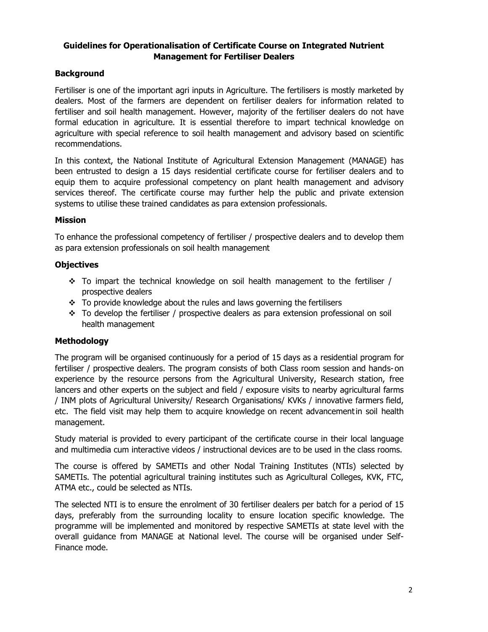## Guidelines for Operationalisation of Certificate Course on Integrated Nutrient Management for Fertiliser Dealers

## Background

Fertiliser is one of the important agri inputs in Agriculture. The fertilisers is mostly marketed by dealers. Most of the farmers are dependent on fertiliser dealers for information related to fertiliser and soil health management. However, majority of the fertiliser dealers do not have formal education in agriculture. It is essential therefore to impart technical knowledge on agriculture with special reference to soil health management and advisory based on scientific recommendations.

In this context, the National Institute of Agricultural Extension Management (MANAGE) has been entrusted to design a 15 days residential certificate course for fertiliser dealers and to equip them to acquire professional competency on plant health management and advisory services thereof. The certificate course may further help the public and private extension systems to utilise these trained candidates as para extension professionals.

## Mission

To enhance the professional competency of fertiliser / prospective dealers and to develop them as para extension professionals on soil health management

#### **Objectives**

- $\div$  To impart the technical knowledge on soil health management to the fertiliser / prospective dealers
- \* To provide knowledge about the rules and laws governing the fertilisers
- $\div$  To develop the fertiliser / prospective dealers as para extension professional on soil health management

## Methodology

The program will be organised continuously for a period of 15 days as a residential program for fertiliser / prospective dealers. The program consists of both Class room session and hands- on experience by the resource persons from the Agricultural University, Research station, free lancers and other experts on the subject and field / exposure visits to nearby agricultural farms / INM plots of Agricultural University/ Research Organisations/ KVKs / innovative farmers field, etc. The field visit may help them to acquire knowledge on recent advancementin soil health management.

Study material is provided to every participant of the certificate course in their local language and multimedia cum interactive videos / instructional devices are to be used in the class rooms.

The course is offered by SAMETIs and other Nodal Training Institutes (NTIs) selected by SAMETIs. The potential agricultural training institutes such as Agricultural Colleges, KVK, FTC, ATMA etc., could be selected as NTIs.

The selected NTI is to ensure the enrolment of 30 fertiliser dealers per batch for a period of 15 days, preferably from the surrounding locality to ensure location specific knowledge. The programme will be implemented and monitored by respective SAMETIs at state level with the overall guidance from MANAGE at National level. The course will be organised under Self-Finance mode.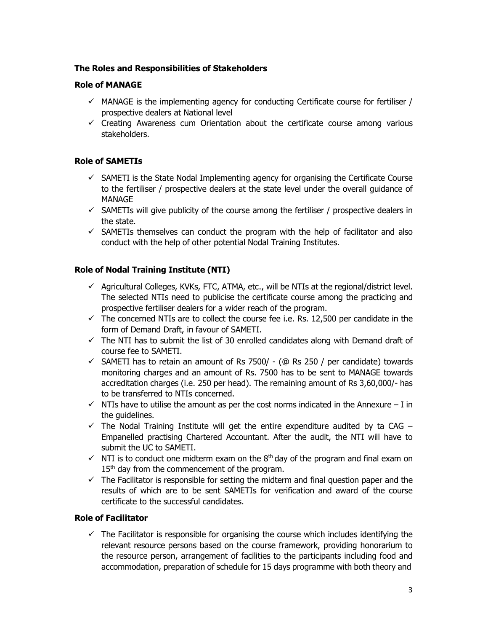## The Roles and Responsibilities of Stakeholders

## Role of MANAGE

- $\checkmark$  MANAGE is the implementing agency for conducting Certificate course for fertiliser / prospective dealers at National level
- $\checkmark$  Creating Awareness cum Orientation about the certificate course among various stakeholders.

#### Role of SAMETIs

- $\checkmark$  SAMETI is the State Nodal Implementing agency for organising the Certificate Course to the fertiliser / prospective dealers at the state level under the overall guidance of MANAGE
- $\checkmark$  SAMETIs will give publicity of the course among the fertiliser / prospective dealers in the state.
- $\checkmark$  SAMETIs themselves can conduct the program with the help of facilitator and also conduct with the help of other potential Nodal Training Institutes.

## Role of Nodal Training Institute (NTI)

- $\checkmark$  Agricultural Colleges, KVKs, FTC, ATMA, etc., will be NTIs at the regional/district level. The selected NTIs need to publicise the certificate course among the practicing and prospective fertiliser dealers for a wider reach of the program.
- $\checkmark$  The concerned NTIs are to collect the course fee i.e. Rs. 12,500 per candidate in the form of Demand Draft, in favour of SAMETI.
- $\checkmark$  The NTI has to submit the list of 30 enrolled candidates along with Demand draft of course fee to SAMETI.
- $\checkmark$  SAMETI has to retain an amount of Rs 7500/ (@ Rs 250 / per candidate) towards monitoring charges and an amount of Rs. 7500 has to be sent to MANAGE towards accreditation charges (i.e. 250 per head). The remaining amount of Rs 3,60,000/- has to be transferred to NTIs concerned.
- $\checkmark$  NTIs have to utilise the amount as per the cost norms indicated in the Annexure I in the quidelines.
- $\checkmark$  The Nodal Training Institute will get the entire expenditure audited by ta CAG Empanelled practising Chartered Accountant. After the audit, the NTI will have to submit the UC to SAMETI.
- $\checkmark$  NTI is to conduct one midterm exam on the 8<sup>th</sup> day of the program and final exam on 15<sup>th</sup> day from the commencement of the program.
- $\checkmark$  The Facilitator is responsible for setting the midterm and final question paper and the results of which are to be sent SAMETIs for verification and award of the course certificate to the successful candidates.

## Role of Facilitator

 $\checkmark$  The Facilitator is responsible for organising the course which includes identifying the relevant resource persons based on the course framework, providing honorarium to the resource person, arrangement of facilities to the participants including food and accommodation, preparation of schedule for 15 days programme with both theory and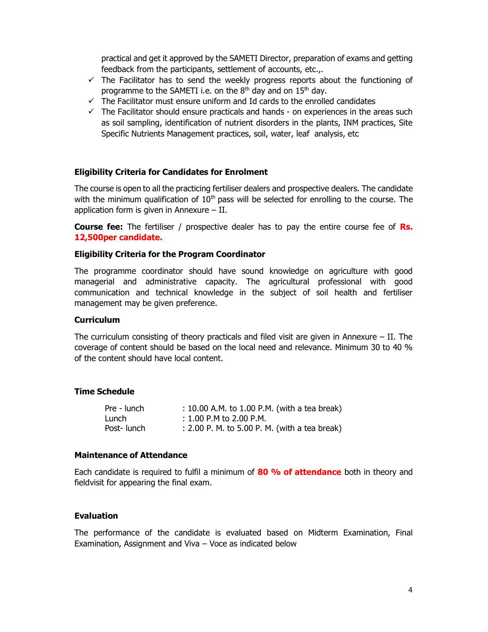practical and get it approved by the SAMETI Director, preparation of exams and getting feedback from the participants, settlement of accounts, etc.,.

- $\checkmark$  The Facilitator has to send the weekly progress reports about the functioning of programme to the SAMETI i.e. on the  $8<sup>th</sup>$  day and on  $15<sup>th</sup>$  day.
- $\checkmark$  The Facilitator must ensure uniform and Id cards to the enrolled candidates
- $\checkmark$  The Facilitator should ensure practicals and hands on experiences in the areas such as soil sampling, identification of nutrient disorders in the plants, INM practices, Site Specific Nutrients Management practices, soil, water, leaf analysis, etc

#### Eligibility Criteria for Candidates for Enrolment

The course is open to all the practicing fertiliser dealers and prospective dealers. The candidate with the minimum qualification of  $10<sup>th</sup>$  pass will be selected for enrolling to the course. The application form is given in Annexure – II.

**Course fee:** The fertiliser / prospective dealer has to pay the entire course fee of **Rs.** 12,500 per candidate.

#### Eligibility Criteria for the Program Coordinator

The programme coordinator should have sound knowledge on agriculture with good managerial and administrative capacity. The agricultural professional with good communication and technical knowledge in the subject of soil health and fertiliser management may be given preference.

#### **Curriculum**

The curriculum consisting of theory practicals and filed visit are given in Annexure – II. The coverage of content should be based on the local need and relevance. Minimum 30 to 40 % of the content should have local content.

#### Time Schedule

| Pre - lunch | : 10.00 A.M. to 1.00 P.M. (with a tea break)  |
|-------------|-----------------------------------------------|
| Lunch       | $: 1.00$ P.M to 2.00 P.M.                     |
| Post-lunch  | : 2.00 P. M. to 5.00 P. M. (with a tea break) |

#### Maintenance of Attendance

Each candidate is required to fulfil a minimum of 80 % of attendance both in theory and field visit for appearing the final exam.

#### **Evaluation**

The performance of the candidate is evaluated based on Midterm Examination, Final Examination, Assignment and Viva – Voce as indicated below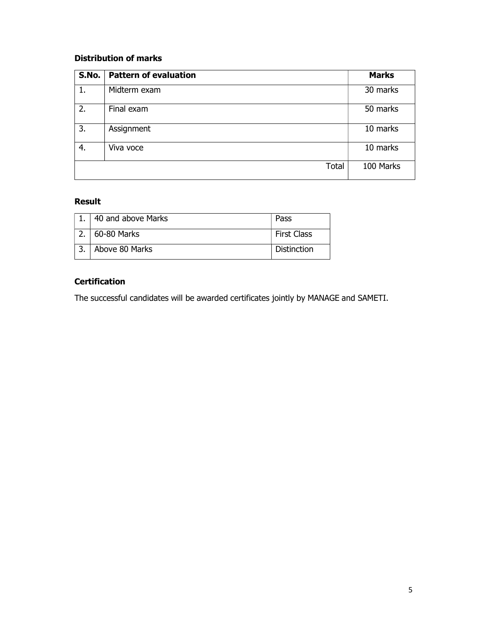## Distribution of marks

| S.No. | <b>Pattern of evaluation</b> | <b>Marks</b> |
|-------|------------------------------|--------------|
| 1.    | Midterm exam                 | 30 marks     |
| 2.    | Final exam                   | 50 marks     |
| 3.    | Assignment                   | 10 marks     |
| 4.    | Viva voce                    | 10 marks     |
|       | <b>Total</b>                 | 100 Marks    |

# Result

| 40 and above Marks | Pass        |
|--------------------|-------------|
| 60-80 Marks        | First Class |
| Above 80 Marks     | Distinction |

# **Certification**

The successful candidates will be awarded certificates jointly by MANAGE and SAMETI.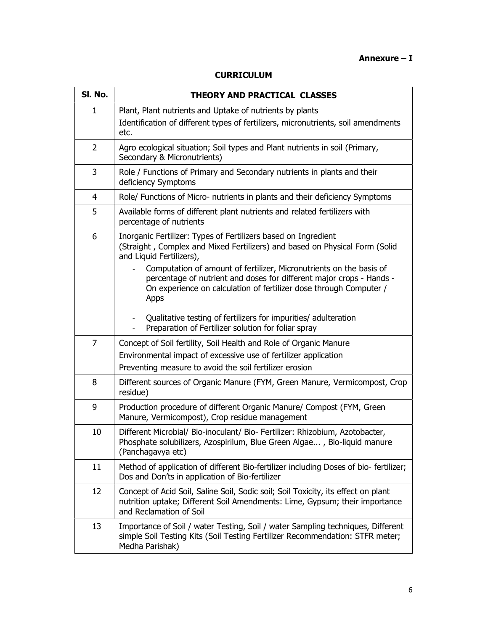## Annexure – I

| SI. No.        | THEORY AND PRACTICAL CLASSES                                                                                                                                                                                                                                                                                                                                                                           |  |  |  |  |  |
|----------------|--------------------------------------------------------------------------------------------------------------------------------------------------------------------------------------------------------------------------------------------------------------------------------------------------------------------------------------------------------------------------------------------------------|--|--|--|--|--|
| $\mathbf{1}$   | Plant, Plant nutrients and Uptake of nutrients by plants<br>Identification of different types of fertilizers, micronutrients, soil amendments<br>etc.                                                                                                                                                                                                                                                  |  |  |  |  |  |
| 2              | Agro ecological situation; Soil types and Plant nutrients in soil (Primary,<br>Secondary & Micronutrients)                                                                                                                                                                                                                                                                                             |  |  |  |  |  |
| 3              | Role / Functions of Primary and Secondary nutrients in plants and their<br>deficiency Symptoms                                                                                                                                                                                                                                                                                                         |  |  |  |  |  |
| $\overline{4}$ | Role/ Functions of Micro- nutrients in plants and their deficiency Symptoms                                                                                                                                                                                                                                                                                                                            |  |  |  |  |  |
| 5              | Available forms of different plant nutrients and related fertilizers with<br>percentage of nutrients                                                                                                                                                                                                                                                                                                   |  |  |  |  |  |
| 6              | Inorganic Fertilizer: Types of Fertilizers based on Ingredient<br>(Straight, Complex and Mixed Fertilizers) and based on Physical Form (Solid<br>and Liquid Fertilizers),<br>Computation of amount of fertilizer, Micronutrients on the basis of<br>percentage of nutrient and doses for different major crops - Hands -<br>On experience on calculation of fertilizer dose through Computer /<br>Apps |  |  |  |  |  |
|                | Qualitative testing of fertilizers for impurities/ adulteration<br>Preparation of Fertilizer solution for foliar spray                                                                                                                                                                                                                                                                                 |  |  |  |  |  |
| 7              | Concept of Soil fertility, Soil Health and Role of Organic Manure<br>Environmental impact of excessive use of fertilizer application<br>Preventing measure to avoid the soil fertilizer erosion                                                                                                                                                                                                        |  |  |  |  |  |
| 8              | Different sources of Organic Manure (FYM, Green Manure, Vermicompost, Crop<br>residue)                                                                                                                                                                                                                                                                                                                 |  |  |  |  |  |
| 9              | Production procedure of different Organic Manure/ Compost (FYM, Green<br>Manure, Vermicompost), Crop residue management                                                                                                                                                                                                                                                                                |  |  |  |  |  |
| 10             | Different Microbial/ Bio-inoculant/ Bio- Fertilizer: Rhizobium, Azotobacter,<br>Phosphate solubilizers, Azospirilum, Blue Green Algae, Bio-liquid manure<br>(Panchagavya etc)                                                                                                                                                                                                                          |  |  |  |  |  |
| 11             | Method of application of different Bio-fertilizer including Doses of bio-fertilizer;<br>Dos and Don'ts in application of Bio-fertilizer                                                                                                                                                                                                                                                                |  |  |  |  |  |
| 12             | Concept of Acid Soil, Saline Soil, Sodic soil; Soil Toxicity, its effect on plant<br>nutrition uptake; Different Soil Amendments: Lime, Gypsum; their importance<br>and Reclamation of Soil                                                                                                                                                                                                            |  |  |  |  |  |
| 13             | Importance of Soil / water Testing, Soil / water Sampling techniques, Different<br>simple Soil Testing Kits (Soil Testing Fertilizer Recommendation: STFR meter;<br>Medha Parishak)                                                                                                                                                                                                                    |  |  |  |  |  |
|                |                                                                                                                                                                                                                                                                                                                                                                                                        |  |  |  |  |  |

#### CURRICULUM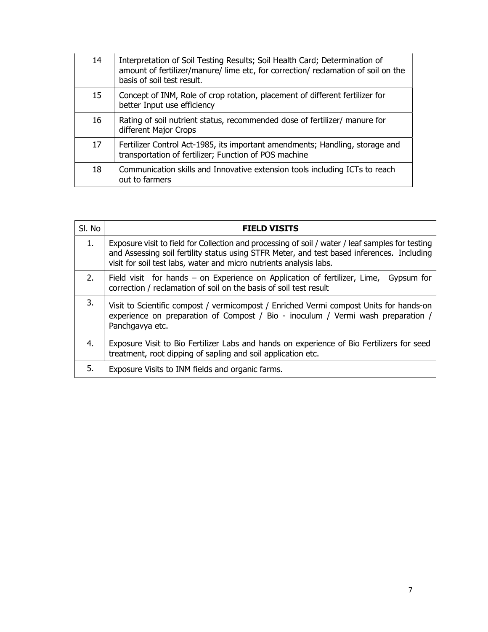| 14 | Interpretation of Soil Testing Results; Soil Health Card; Determination of<br>amount of fertilizer/manure/ lime etc, for correction/ reclamation of soil on the<br>basis of soil test result. |
|----|-----------------------------------------------------------------------------------------------------------------------------------------------------------------------------------------------|
| 15 | Concept of INM, Role of crop rotation, placement of different fertilizer for<br>better Input use efficiency                                                                                   |
| 16 | Rating of soil nutrient status, recommended dose of fertilizer/ manure for<br>different Major Crops                                                                                           |
| 17 | Fertilizer Control Act-1985, its important amendments; Handling, storage and<br>transportation of fertilizer; Function of POS machine                                                         |
| 18 | Communication skills and Innovative extension tools including ICTs to reach<br>out to farmers                                                                                                 |

| SI. No | <b>FIELD VISITS</b>                                                                                                                                                                                                                                                  |
|--------|----------------------------------------------------------------------------------------------------------------------------------------------------------------------------------------------------------------------------------------------------------------------|
| 1.     | Exposure visit to field for Collection and processing of soil / water / leaf samples for testing<br>and Assessing soil fertility status using STFR Meter, and test based inferences. Including<br>visit for soil test labs, water and micro nutrients analysis labs. |
| 2.     | Field visit for hands – on Experience on Application of fertilizer, Lime, Gypsum for<br>correction / reclamation of soil on the basis of soil test result                                                                                                            |
| 3.     | Visit to Scientific compost / vermicompost / Enriched Vermi compost Units for hands-on<br>experience on preparation of Compost / Bio - inoculum / Vermi wash preparation /<br>Panchgavya etc.                                                                        |
| 4.     | Exposure Visit to Bio Fertilizer Labs and hands on experience of Bio Fertilizers for seed<br>treatment, root dipping of sapling and soil application etc.                                                                                                            |
| 5.     | Exposure Visits to INM fields and organic farms.                                                                                                                                                                                                                     |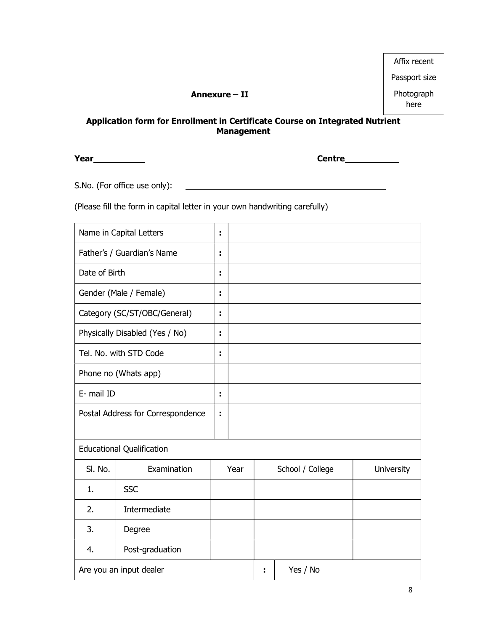|                                                                                              | Affix recent       |
|----------------------------------------------------------------------------------------------|--------------------|
|                                                                                              | Passport size      |
| Annexure – II                                                                                | Photograph<br>here |
| cation form for Enrollment in Certificate Course on Integrated Nutrient<br><b>Management</b> |                    |

<u> 1990 - Johann Barn, mars ann an t-Amhain ann an t-A</u>

## Application form for Enrollment in Certificate Course on Integrated Nutrient Management

**Year** Centre Controllers and Centre Centre Controllers and Centre Centre Controllers and Centre Controllers and Centre Controllers and Centre Controllers and Centre Controllers and Centre Controllers and Controllers and C

S.No. (For office use only):

(Please fill the form in capital letter in your own handwriting carefully)

|                                        | Name in Capital Letters          | ÷  |      |          |                  |                   |
|----------------------------------------|----------------------------------|----|------|----------|------------------|-------------------|
| Father's / Guardian's Name<br>÷        |                                  |    |      |          |                  |                   |
| Date of Birth                          |                                  | ÷  |      |          |                  |                   |
|                                        | Gender (Male / Female)           | Î, |      |          |                  |                   |
|                                        | Category (SC/ST/OBC/General)     | ř, |      |          |                  |                   |
|                                        | Physically Disabled (Yes / No)   | ÷  |      |          |                  |                   |
|                                        | Tel. No. with STD Code           | Ĩ. |      |          |                  |                   |
|                                        | Phone no (Whats app)             |    |      |          |                  |                   |
| E- mail ID                             |                                  | ÷  |      |          |                  |                   |
| Postal Address for Correspondence<br>÷ |                                  |    |      |          |                  |                   |
|                                        | <b>Educational Qualification</b> |    |      |          |                  |                   |
| SI. No.                                | Examination                      |    | Year |          | School / College | <b>University</b> |
| 1.                                     | <b>SSC</b>                       |    |      |          |                  |                   |
| 2.                                     | Intermediate                     |    |      |          |                  |                   |
| 3.                                     | Degree                           |    |      |          |                  |                   |
| 4.                                     | Post-graduation                  |    |      |          |                  |                   |
| Are you an input dealer                |                                  |    | ÷    | Yes / No |                  |                   |